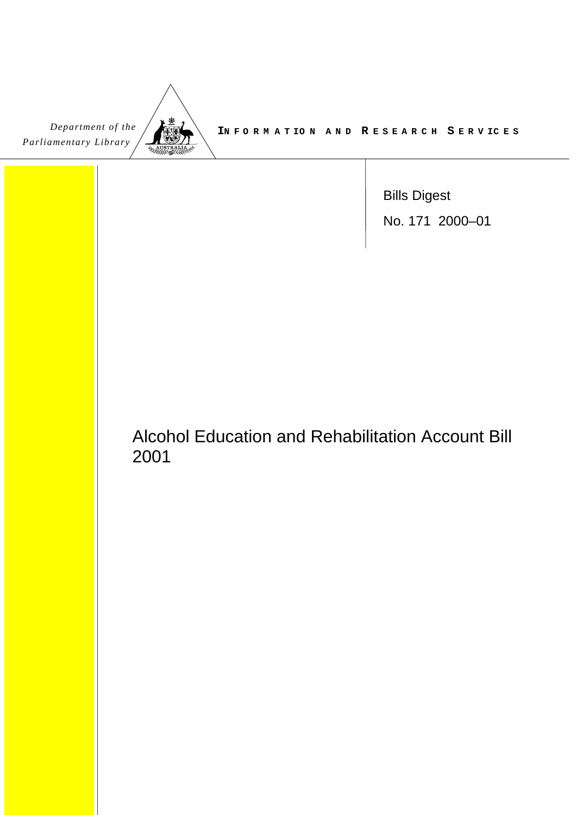| Department of the     |
|-----------------------|
| Parliamentary Library |

**IN F O R M A T IO N A N D R ESEA RCH S E R V IC E S**

Bills Digest No. 171 2000–01

# Alcohol Education and Rehabilitation Account Bill 2001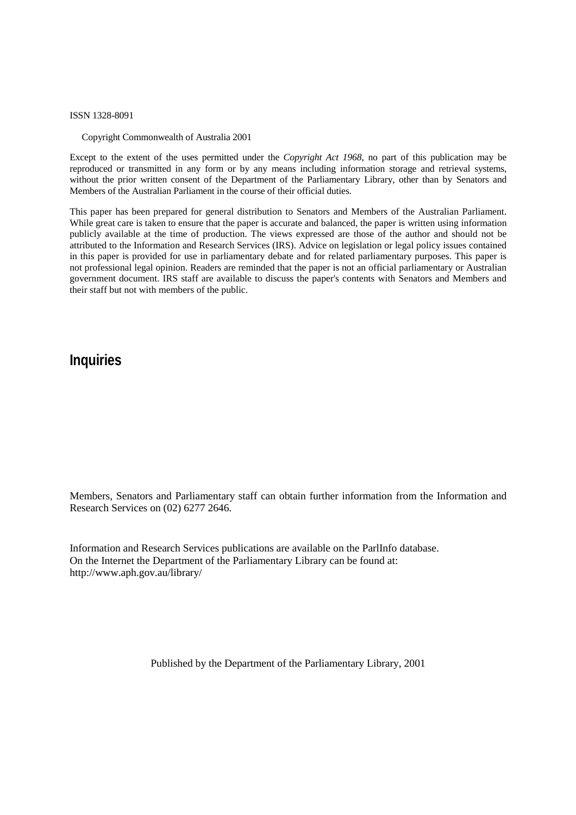ISSN 1328-8091

Copyright Commonwealth of Australia 2001

Except to the extent of the uses permitted under the *Copyright Act 1968*, no part of this publication may be reproduced or transmitted in any form or by any means including information storage and retrieval systems, without the prior written consent of the Department of the Parliamentary Library, other than by Senators and Members of the Australian Parliament in the course of their official duties.

This paper has been prepared for general distribution to Senators and Members of the Australian Parliament. While great care is taken to ensure that the paper is accurate and balanced, the paper is written using information publicly available at the time of production. The views expressed are those of the author and should not be attributed to the Information and Research Services (IRS). Advice on legislation or legal policy issues contained in this paper is provided for use in parliamentary debate and for related parliamentary purposes. This paper is not professional legal opinion. Readers are reminded that the paper is not an official parliamentary or Australian government document. IRS staff are available to discuss the paper's contents with Senators and Members and their staff but not with members of the public.

## **Inquiries**

Members, Senators and Parliamentary staff can obtain further information from the Information and Research Services on (02) 6277 2646.

Information and Research Services publications are available on the ParlInfo database. On the Internet the Department of the Parliamentary Library can be found at: <http://www.aph.gov.au/library/>

Published by the Department of the Parliamentary Library, 2001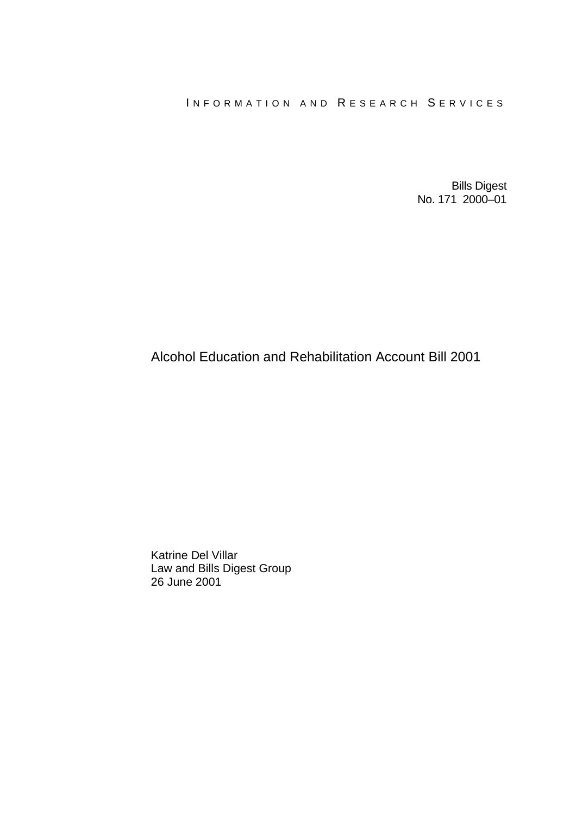#### INFORMATION AND RESEARCH SERVICES

Bills Digest No. 171 2000–01

## Alcohol Education and Rehabilitation Account Bill 2001

Katrine Del Villar Law and Bills Digest Group 26 June 2001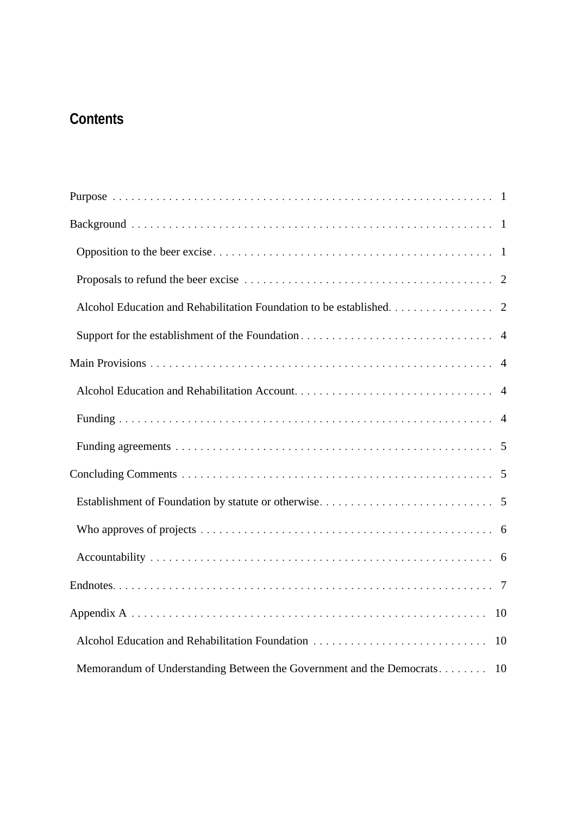## **Contents**

| Alcohol Education and Rehabilitation Foundation to be established. 2    |
|-------------------------------------------------------------------------|
|                                                                         |
|                                                                         |
|                                                                         |
|                                                                         |
|                                                                         |
|                                                                         |
|                                                                         |
|                                                                         |
|                                                                         |
|                                                                         |
| 10                                                                      |
| Alcohol Education and Rehabilitation Foundation<br>10                   |
| Memorandum of Understanding Between the Government and the Democrats 10 |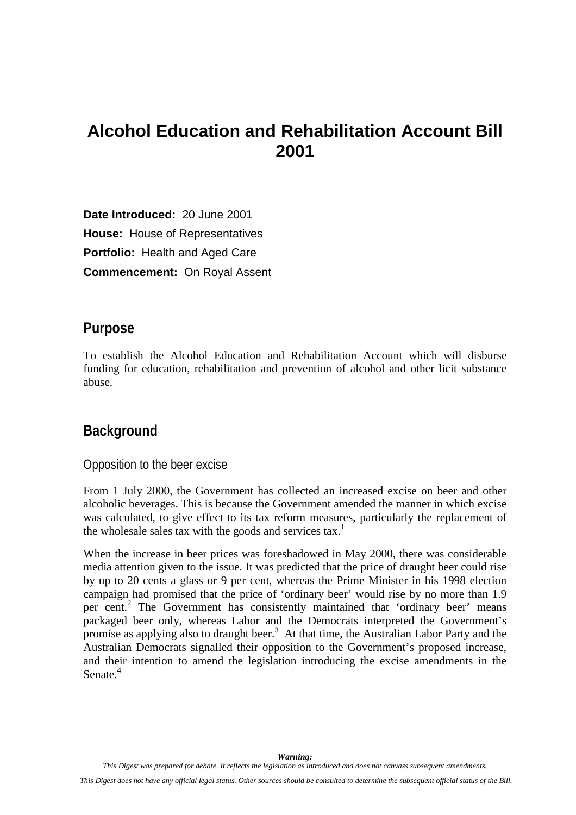# <span id="page-4-0"></span>**Alcohol Education and Rehabilitation Account Bill 2001**

**Date Introduced:** 20 June 2001 **House:** House of Representatives **Portfolio:** Health and Aged Care **Commencement:** On Royal Assent

### **Purpose**

To establish the Alcohol Education and Rehabilitation Account which will disburse funding for education, rehabilitation and prevention of alcohol and other licit substance abuse.

## **Background**

Opposition to the beer excise

From 1 July 2000, the Government has collected an increased excise on beer and other alcoholic beverages. This is because the Government amended the manner in which excise was calculated, to give effect to its tax reform measures, particularly the replacement of the wholesale sales tax with the goods and services tax.<sup>[1](#page-13-0)</sup>

When the increase in beer prices was foreshadowed in May 2000, there was considerable media attention given to the issue. It was predicted that the price of draught beer could rise by up to 20 cents a glass or 9 per cent, whereas the Prime Minister in his 1998 election campaig[n h](#page-13-0)ad promised that the price of 'ordinary beer' would rise by no more than 1.9 per cent.<sup>2</sup> The Government has consistently maintained that 'ordinary beer' means packaged beer only, whereas Labor and the Democrats interpreted the Government's promise as applying also to draught beer.<sup>[3](#page-13-0)</sup> At that time, the Australian Labor Party and the Australian Democrats signalled their opposition to the Government's proposed increase, and their intention to amend the legislation introducing the excise amendments in the Senate<sup>[4](#page-13-0)</sup>

*Warning: This Digest was prepared for debate. It reflects the legislation as introduced and does not canvass subsequent amendments.*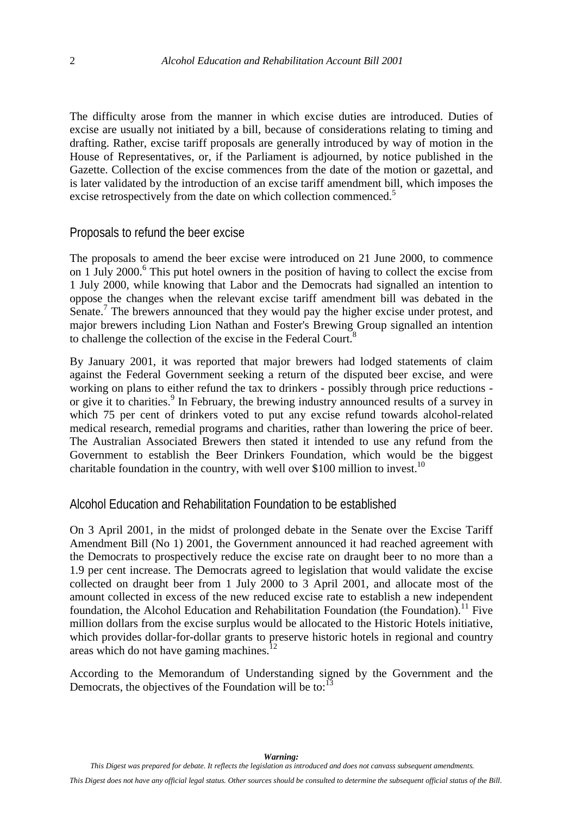<span id="page-5-0"></span>The difficulty arose from the manner in which excise duties are introduced. Duties of excise are usually not initiated by a bill, because of considerations relating to timing and drafting. Rather, excise tariff proposals are generally introduced by way of motion in the House of Representatives, or, if the Parliament is adjourned, by notice published in the Gazette. Collection of the excise commences from the date of the motion or gazettal, and is later validated by the introduction of an excise tariff amendment bill, which imposes the excise retrospectively from the date on which collection commenced.<sup>[5](#page-13-0)</sup>

#### Proposals to refund the beer excise

The proposals to amend the beer excise were introduced on 21 June 2000, to commence on 1 July 2000.<sup>[6](#page-13-0)</sup> This put hotel owners in the position of having to collect the excise from 1 July 2000, while knowing that Labor and the Democrats had signalled an intention to oppose the changes when the relevant excise tariff amendment bill was debated in the Senate.<sup>[7](#page-13-0)</sup> The brewers announced that they would pay the higher excise under protest, and major brewers including Lion Nathan and Foster's Brewing Group signalled an intention to challenge the collection of the excise in the Federal Court.<sup>8</sup>

By January 2001, it was reported that major brewers had lodged statements of claim against the Federal Government seeking a return of the disputed beer excise, and were working on plans to either refund the tax to drinkers - possibly through price reductions - or give it to charities.<sup>[9](#page-13-0)</sup> In February, the brewing industry announced results of a survey in which 75 per cent of drinkers voted to put any excise refund towards alcohol-related medical research, remedial programs and charities, rather than lowering the price of beer. The Australian Associated Brewers then stated it intended to use any refund from the Government to establish the Beer Drinkers Foundation, which would be the biggest charitable foundation in the country, with well over \$100 million to invest.<sup>10</sup>

#### Alcohol Education and Rehabilitation Foundation to be established

On 3 April 2001, in the midst of prolonged debate in the Senate over the Excise Tariff Amendment Bill (No 1) 2001, the Government announced it had reached agreement with the Democrats to prospectively reduce the excise rate on draught beer to no more than a 1.9 per cent increase. The Democrats agreed to legislation that would validate the excise collected on draught beer from 1 July 2000 to 3 April 2001, and allocate most of the amount collected in excess of the new reduced excise rate to establish a new independent foundation, the Alcohol Education and Rehabilitation Foundation (the Foundation).<sup>11</sup> Five million dollars from the excise surplus would be allocated to the Historic Hotels initiative, which provides dollar-for-dollar grants to preserve historic hotels in regional and country areas which do not have gaming machines.<sup>1</sup>

According to the Memorandum of Understanding signed by the Government and the Democrats, the objectives of the Foundation will be to:  $13$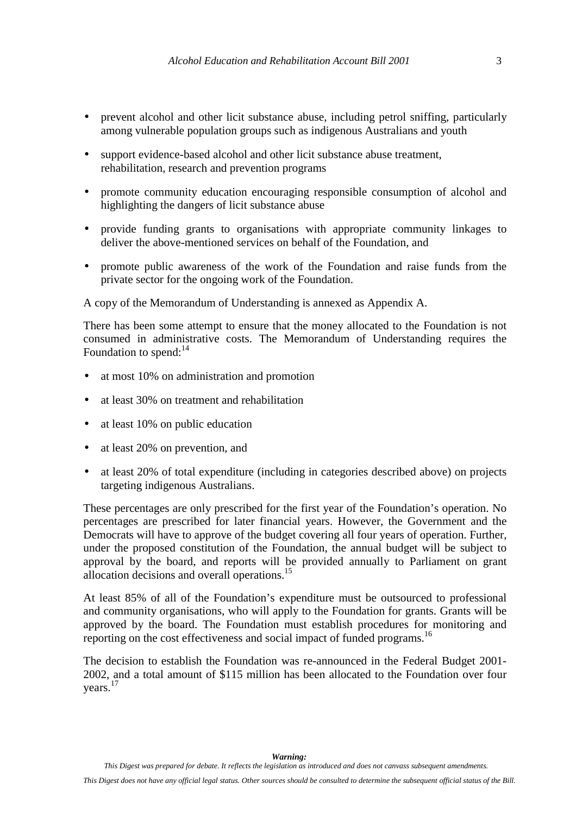- prevent alcohol and other licit substance abuse, including petrol sniffing, particularly among vulnerable population groups such as indigenous Australians and youth
- support evidence-based alcohol and other licit substance abuse treatment, rehabilitation, research and prevention programs
- promote community education encouraging responsible consumption of alcohol and highlighting the dangers of licit substance abuse
- provide funding grants to organisations with appropriate community linkages to deliver the above-mentioned services on behalf of the Foundation, and
- promote public awareness of the work of the Foundation and raise funds from the private sector for the ongoing work of the Foundation.

A copy of the Memorandum of Understanding is annexed as Appendix A.

There has been some attempt to ensure that the money allocated to the Foundation is not consumed in administrative costs. The Memorandum of Understanding requires the Foundation to spend: $^{14}$  $^{14}$  $^{14}$ 

- at most 10% on administration and promotion
- at least 30% on treatment and rehabilitation
- at least 10% on public education
- at least 20% on prevention, and
- at least 20% of total expenditure (including in categories described above) on projects targeting indigenous Australians.

These percentages are only prescribed for the first year of the Foundation's operation. No percentages are prescribed for later financial years. However, the Government and the Democrats will have to approve of the budget covering all four years of operation. Further, under the proposed constitution of the Foundation, the annual budget will be subject to approval by the board, and reports will be provided annually to Parliament on grant allocation decisions and overall operations.[15](#page-13-0)

At least 85% of all of the Foundation's expenditure must be outsourced to professional and community organisations, who will apply to the Foundation for grants. Grants will be approved by the board. The Foundation must establish procedures for monitoring and reporting on the cost effectiveness and social impact of funded programs.<sup>[16](#page-13-0)</sup>

The decision to establish the Foundation was re-announced in the Federal Budget 2001- 2002, and a total amount of \$115 million has been allocated to the Foundation over four years.[17](#page-13-0)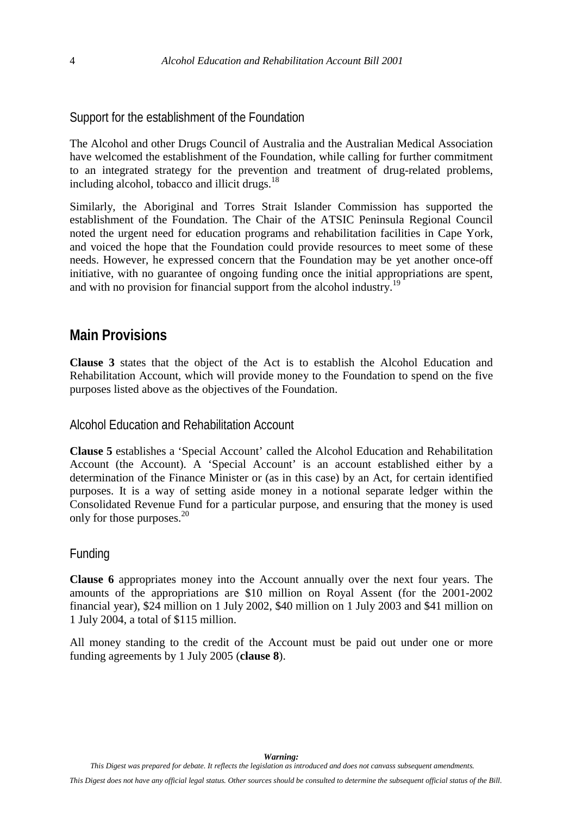<span id="page-7-0"></span>Support for the establishment of the Foundation

The Alcohol and other Drugs Council of Australia and the Australian Medical Association have welcomed the establishment of the Foundation, while calling for further commitment to an integrated strategy for the prevention and treatment of drug-related problems, including alcohol, tobacco and illicit drugs.<sup>[18](#page-13-0)</sup>

Similarly, the Aboriginal and Torres Strait Islander Commission has supported the establishment of the Foundation. The Chair of the ATSIC Peninsula Regional Council noted the urgent need for education programs and rehabilitation facilities in Cape York, and voiced the hope that the Foundation could provide resources to meet some of these needs. However, he expressed concern that the Foundation may be yet another once-off initiative, with no guarantee of ongoing funding once the initial appropriations are spent, and with no provision for financial support from the alcohol industry.<sup>[19](#page-13-0)</sup>

## **Main Provisions**

**Clause 3** states that the object of the Act is to establish the Alcohol Education and Rehabilitation Account, which will provide money to the Foundation to spend on the five purposes listed above as the objectives of the Foundation.

Alcohol Education and Rehabilitation Account

**Clause 5** establishes a 'Special Account' called the Alcohol Education and Rehabilitation Account (the Account). A 'Special Account' is an account established either by a determination of the Finance Minister or (as in this case) by an Act, for certain identified purposes. It is a way of setting aside money in a notional separate ledger within the Consolidated Revenue Fund for a particular purpose, and ensuring that the money is used only for those purposes. $20$ 

#### Funding

**Clause 6** appropriates money into the Account annually over the next four years. The amounts of the appropriations are \$10 million on Royal Assent (for the 2001-2002 financial year), \$24 million on 1 July 2002, \$40 million on 1 July 2003 and \$41 million on 1 July 2004, a total of \$115 million.

All money standing to the credit of the Account must be paid out under one or more funding agreements by 1 July 2005 (**clause 8**).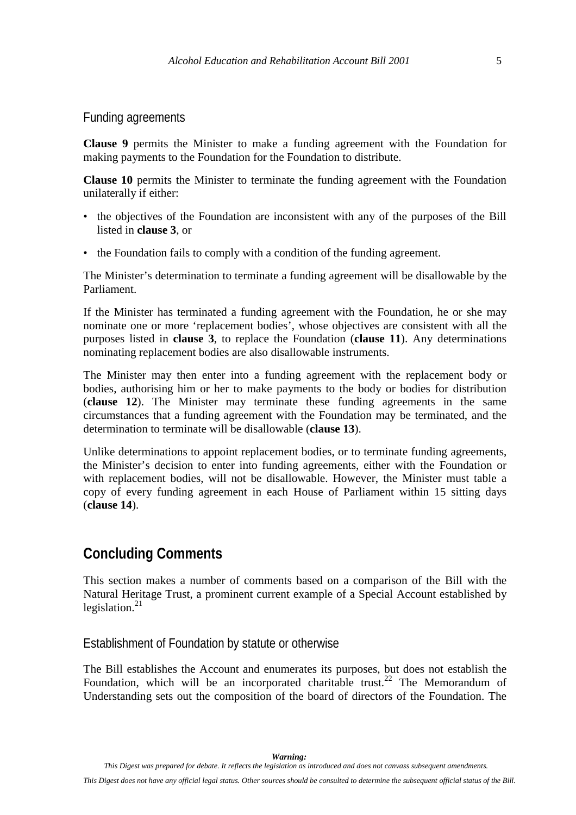<span id="page-8-0"></span>Funding agreements

**Clause 9** permits the Minister to make a funding agreement with the Foundation for making payments to the Foundation for the Foundation to distribute.

**Clause 10** permits the Minister to terminate the funding agreement with the Foundation unilaterally if either:

- the objectives of the Foundation are inconsistent with any of the purposes of the Bill listed in **clause 3**, or
- the Foundation fails to comply with a condition of the funding agreement.

The Minister's determination to terminate a funding agreement will be disallowable by the Parliament.

If the Minister has terminated a funding agreement with the Foundation, he or she may nominate one or more 'replacement bodies', whose objectives are consistent with all the purposes listed in **clause 3**, to replace the Foundation (**clause 11**). Any determinations nominating replacement bodies are also disallowable instruments.

The Minister may then enter into a funding agreement with the replacement body or bodies, authorising him or her to make payments to the body or bodies for distribution (**clause 12**). The Minister may terminate these funding agreements in the same circumstances that a funding agreement with the Foundation may be terminated, and the determination to terminate will be disallowable (**clause 13**).

Unlike determinations to appoint replacement bodies, or to terminate funding agreements, the Minister's decision to enter into funding agreements, either with the Foundation or with replacement bodies, will not be disallowable. However, the Minister must table a copy of every funding agreement in each House of Parliament within 15 sitting days (**clause 14**).

## **Concluding Comments**

This section makes a number of comments based on a comparison of the Bill with the Natural Heritage Trust, a prominent current example of a Special Account established by legislation. $^{21}$  $^{21}$  $^{21}$ 

Establishment of Foundation by statute or otherwise

The Bill establishes the Account and enumerates its purposes, but does not establish the Foundation, which will be an incorporated charitable trust.<sup>22</sup> The Memorandum of Understanding sets out the composition of the board of directors of the Foundation. The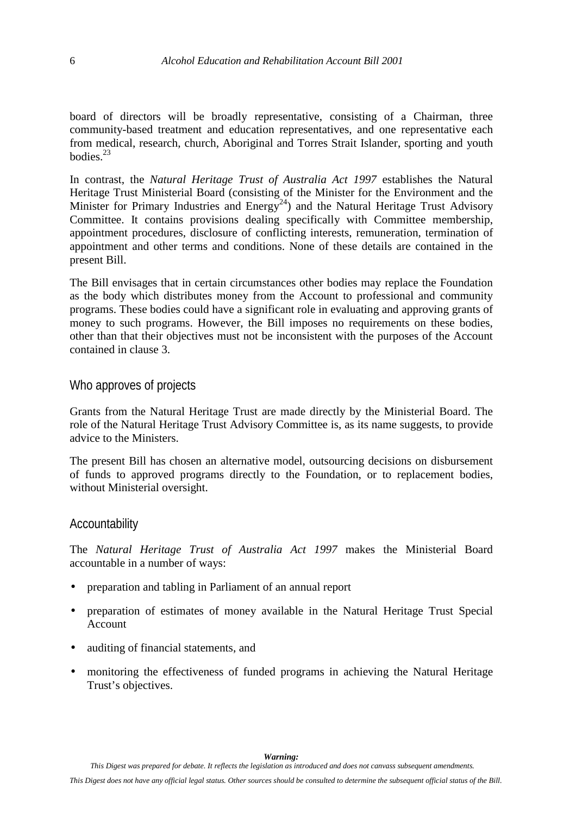<span id="page-9-0"></span>board of directors will be broadly representative, consisting of a Chairman, three community-based treatment and education representatives, and one representative each from medical, research, church, Aboriginal and Torres Strait Islander, sporting and youth  $b$ odies<sup>23</sup>

In contrast, the *Natural Heritage Trust of Australia Act 1997* establishes the Natural Heritage Trust Ministerial Board (consisting of the Minister for the Environment and the Minister for Primary Industries and Energy<sup>24</sup>) and the Natural Heritage Trust Advisory Committee. It contains provisions dealing specifically with Committee membership, appointment procedures, disclosure of conflicting interests, remuneration, termination of appointment and other terms and conditions. None of these details are contained in the present Bill.

The Bill envisages that in certain circumstances other bodies may replace the Foundation as the body which distributes money from the Account to professional and community programs. These bodies could have a significant role in evaluating and approving grants of money to such programs. However, the Bill imposes no requirements on these bodies, other than that their objectives must not be inconsistent with the purposes of the Account contained in clause 3.

#### Who approves of projects

Grants from the Natural Heritage Trust are made directly by the Ministerial Board. The role of the Natural Heritage Trust Advisory Committee is, as its name suggests, to provide advice to the Ministers.

The present Bill has chosen an alternative model, outsourcing decisions on disbursement of funds to approved programs directly to the Foundation, or to replacement bodies, without Ministerial oversight.

#### Accountability

The *Natural Heritage Trust of Australia Act 1997* makes the Ministerial Board accountable in a number of ways:

- preparation and tabling in Parliament of an annual report
- preparation of estimates of money available in the Natural Heritage Trust Special Account
- auditing of financial statements, and
- monitoring the effectiveness of funded programs in achieving the Natural Heritage Trust's objectives.

*This Digest was prepared for debate. It reflects the legislation as introduced and does not canvass subsequent amendments.*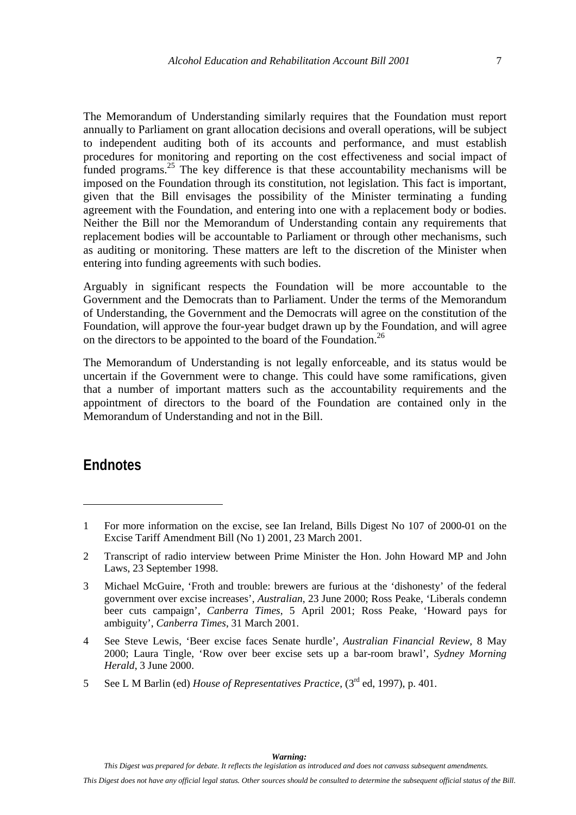<span id="page-10-0"></span>The Memorandum of Understanding similarly requires that the Foundation must report annually to Parliament on grant allocation decisions and overall operations, will be subject to independent auditing both of its accounts and performance, and must establish procedures for monitoring and reporting on the cost effectiveness and social impact of funded programs.<sup>25</sup> The key difference is that these accountability mechanisms will be imposed on the Foundation through its constitution, not legislation. This fact is important, given that the Bill envisages the possibility of the Minister terminating a funding agreement with the Foundation, and entering into one with a replacement body or bodies. Neither the Bill nor the Memorandum of Understanding contain any requirements that replacement bodies will be accountable to Parliament or through other mechanisms, such as auditing or monitoring. These matters are left to the discretion of the Minister when entering into funding agreements with such bodies.

Arguably in significant respects the Foundation will be more accountable to the Government and the Democrats than to Parliament. Under the terms of the Memorandum of Understanding, the Government and the Democrats will agree on the constitution of the Foundation, will approve the four-year budget drawn up by the Foundation, and will agree on the directors to be appointed to the board of the Foundation.<sup>26</sup>

The Memorandum of Understanding is not legally enforceable, and its status would be uncertain if the Government were to change. This could have some ramifications, given that a number of important matters such as the accountability requirements and the appointment of directors to the board of the Foundation are contained only in the Memorandum of Understanding and not in the Bill.

### **Endnotes**

 $\overline{a}$ 

5 See L M Barlin (ed) *House of Representatives Practice*, (3rd ed, 1997), p. 401.

<sup>1</sup> For more information on the excise, see Ian Ireland, Bills Digest No 107 of 2000-01 on the Excise Tariff Amendment Bill (No 1) 2001, 23 March 2001.

<sup>2</sup> Transcript of radio interview between Prime Minister the Hon. John Howard MP and John Laws, 23 September 1998.

<sup>3</sup> Michael McGuire, 'Froth and trouble: brewers are furious at the 'dishonesty' of the federal government over excise increases', *Australian*, 23 June 2000; Ross Peake, 'Liberals condemn beer cuts campaign', *Canberra Times*, 5 April 2001; Ross Peake, 'Howard pays for ambiguity', *Canberra Times*, 31 March 2001.

<sup>4</sup> See Steve Lewis, 'Beer excise faces Senate hurdle', *Australian Financial Review*, 8 May 2000; Laura Tingle, 'Row over beer excise sets up a bar-room brawl', *Sydney Morning Herald*, 3 June 2000.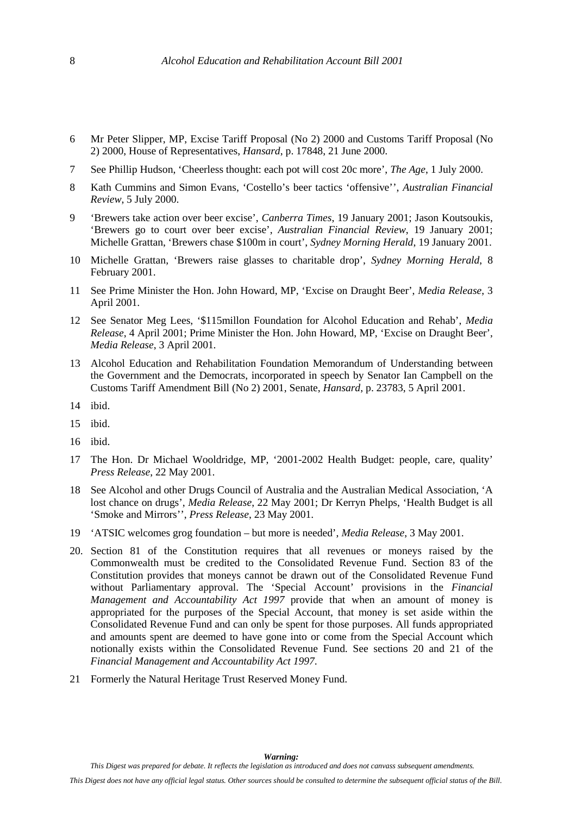- 6 Mr Peter Slipper, MP, Excise Tariff Proposal (No 2) 2000 and Customs Tariff Proposal (No 2) 2000, House of Representatives, *Hansard*, p. 17848, 21 June 2000.
- 7 See Phillip Hudson, 'Cheerless thought: each pot will cost 20c more', *The Age*, 1 July 2000.
- 8 Kath Cummins and Simon Evans, 'Costello's beer tactics 'offensive'', *Australian Financial Review*, 5 July 2000.
- 9 'Brewers take action over beer excise', *Canberra Times*, 19 January 2001; Jason Koutsoukis, 'Brewers go to court over beer excise', *Australian Financial Review*, 19 January 2001; Michelle Grattan, 'Brewers chase \$100m in court', *Sydney Morning Herald*, 19 January 2001.
- 10 Michelle Grattan, 'Brewers raise glasses to charitable drop', *Sydney Morning Herald*, 8 February 2001.
- 11 See Prime Minister the Hon. John Howard, MP, 'Excise on Draught Beer', *Media Release*, 3 April 2001.
- 12 See Senator Meg Lees, '\$115millon Foundation for Alcohol Education and Rehab', *Media Release*, 4 April 2001; Prime Minister the Hon. John Howard, MP, 'Excise on Draught Beer', *Media Release*, 3 April 2001.
- 13 Alcohol Education and Rehabilitation Foundation Memorandum of Understanding between the Government and the Democrats, incorporated in speech by Senator Ian Campbell on the Customs Tariff Amendment Bill (No 2) 2001, Senate, *Hansard*, p. 23783, 5 April 2001.
- 14 ibid.
- 15 ibid.
- 16 ibid.
- 17 The Hon. Dr Michael Wooldridge, MP, '2001-2002 Health Budget: people, care, quality' *Press Release*, 22 May 2001.
- 18 See Alcohol and other Drugs Council of Australia and the Australian Medical Association, 'A lost chance on drugs', *Media Release*, 22 May 2001; Dr Kerryn Phelps, 'Health Budget is all 'Smoke and Mirrors'', *Press Release*, 23 May 2001.
- 19 'ATSIC welcomes grog foundation but more is needed', *Media Release*, 3 May 2001.
- 20. Section 81 of the Constitution requires that all revenues or moneys raised by the Commonwealth must be credited to the Consolidated Revenue Fund. Section 83 of the Constitution provides that moneys cannot be drawn out of the Consolidated Revenue Fund without Parliamentary approval. The 'Special Account' provisions in the *Financial Management and Accountability Act 1997* provide that when an amount of money is appropriated for the purposes of the Special Account, that money is set aside within the Consolidated Revenue Fund and can only be spent for those purposes. All funds appropriated and amounts spent are deemed to have gone into or come from the Special Account which notionally exists within the Consolidated Revenue Fund. See sections 20 and 21 of the *Financial Management and Accountability Act 1997*.
- 21 Formerly the Natural Heritage Trust Reserved Money Fund.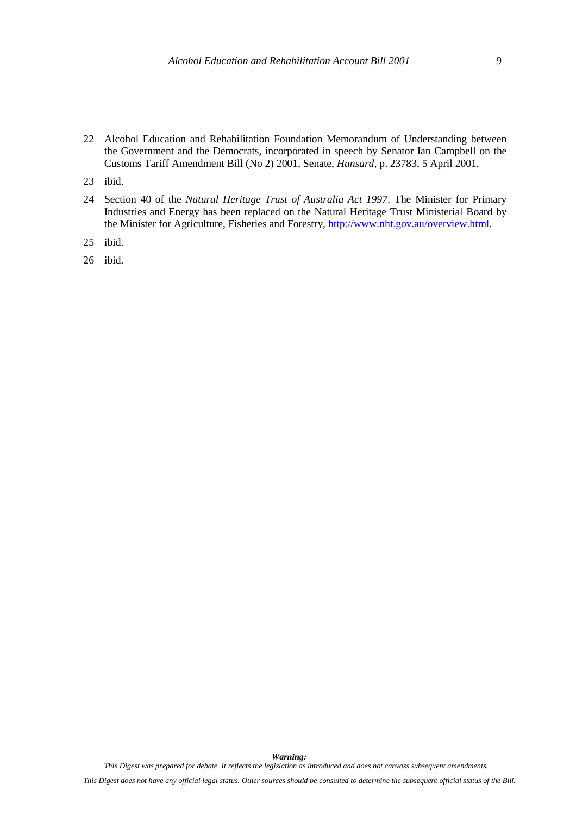- 22 Alcohol Education and Rehabilitation Foundation Memorandum of Understanding between the Government and the Democrats, incorporated in speech by Senator Ian Campbell on the Customs Tariff Amendment Bill (No 2) 2001, Senate, *Hansard*, p. 23783, 5 April 2001.
- 23 ibid.
- 24 Section 40 of the *Natural Heritage Trust of Australia Act 1997*. The Minister for Primary Industries and Energy has been replaced on the Natural Heritage Trust Ministerial Board by the Minister for Agriculture, Fisheries and Forestry, [http://www.nht.gov.au/overview.html.](http://www.nht.gov.au/overview.html)
- 25 ibid.
- 26 ibid.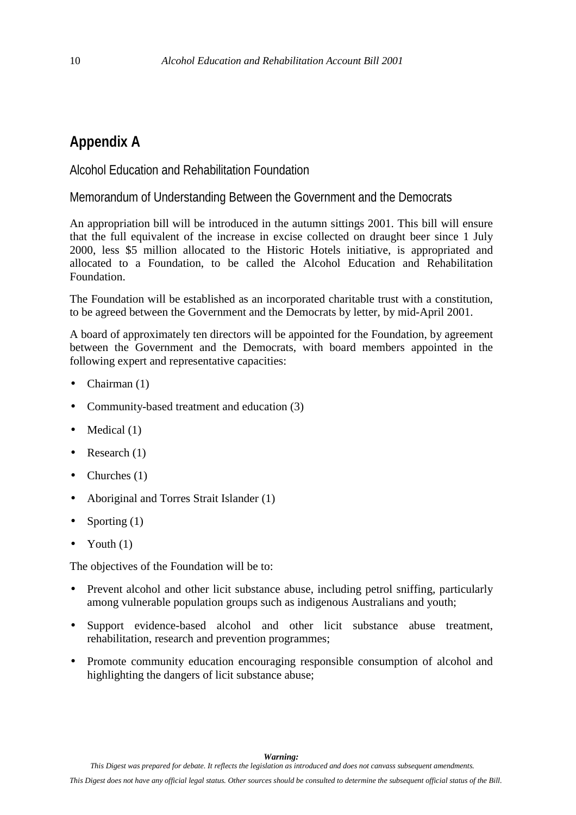## <span id="page-13-0"></span>**Appendix A**

Alcohol Education and Rehabilitation Foundation

Memorandum of Understanding Between the Government and the Democrats

An appropriation bill will be introduced in the autumn sittings 2001. This bill will ensure that the full equivalent of the increase in excise collected on draught beer since 1 July 2000, less \$5 million allocated to the Historic Hotels initiative, is appropriated and allocated to a Foundation, to be called the Alcohol Education and Rehabilitation Foundation.

The Foundation will be established as an incorporated charitable trust with a constitution, to be agreed between the Government and the Democrats by letter, by mid-April 2001.

A board of approximately ten directors will be appointed for the Foundation, by agreement between the Government and the Democrats, with board members appointed in the following expert and representative capacities:

- Chairman (1)
- Community-based treatment and education (3)
- $\bullet$  Medical (1)
- Research  $(1)$
- Churches  $(1)$
- Aboriginal and Torres Strait Islander (1)
- Sporting  $(1)$
- Youth  $(1)$

The objectives of the Foundation will be to:

- Prevent alcohol and other licit substance abuse, including petrol sniffing, particularly among vulnerable population groups such as indigenous Australians and youth;
- Support evidence-based alcohol and other licit substance abuse treatment, rehabilitation, research and prevention programmes;
- Promote community education encouraging responsible consumption of alcohol and highlighting the dangers of licit substance abuse;